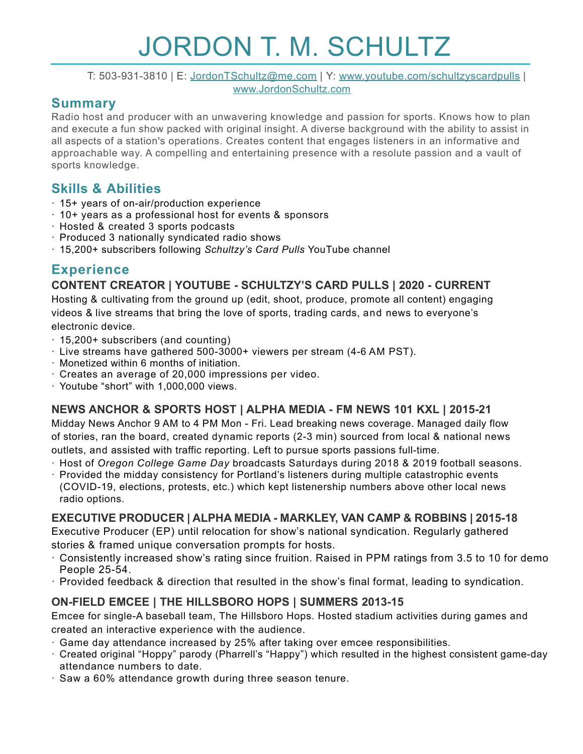# JORDON T. M. SCHULTZ

T: 503-931-3810 | E: [JordonTSchultz@me.com](mailto:JordonTSchultz@me.com?subject=email%20subject) | Y: www.youtube.com/schultzyscardpulls | [www.JordonSchultz.com](http://www.JordonSchultz.com)

## **Summary**

Radio host and producer with an unwavering knowledge and passion for sports. Knows how to plan and execute a fun show packed with original insight. A diverse background with the ability to assist in all aspects of a station's operations. Creates content that engages listeners in an informative and approachable way. A compelling and entertaining presence with a resolute passion and a vault of sports knowledge.

## **Skills & Abilities**

- · 15+ years of on-air/production experience
- · 10+ years as a professional host for events & sponsors
- · Hosted & created 3 sports podcasts
- · Produced 3 nationally syndicated radio shows
- · 15,200+ subscribers following *Schultzy's Card Pulls* YouTube channel

# **Experience**

## **CONTENT CREATOR | YOUTUBE - SCHULTZY'S CARD PULLS | 2020 - CURRENT**

Hosting & cultivating from the ground up (edit, shoot, produce, promote all content) engaging videos & live streams that bring the love of sports, trading cards, and news to everyone's electronic device.

- · 15,200+ subscribers (and counting)
- · Live streams have gathered 500-3000+ viewers per stream (4-6 AM PST).
- · Monetized within 6 months of initiation.
- · Creates an average of 20,000 impressions per video.
- · Youtube "short" with 1,000,000 views.

## **NEWS ANCHOR & SPORTS HOST | ALPHA MEDIA - FM NEWS 101 KXL | 2015-21**

Midday News Anchor 9 AM to 4 PM Mon - Fri. Lead breaking news coverage. Managed daily flow of stories, ran the board, created dynamic reports (2-3 min) sourced from local & national news outlets, and assisted with traffic reporting. Left to pursue sports passions full-time.

- · Host of *Oregon College Game Day* broadcasts Saturdays during 2018 & 2019 football seasons.
- · Provided the midday consistency for Portland's listeners during multiple catastrophic events (COVID-19, elections, protests, etc.) which kept listenership numbers above other local news radio options.

## **EXECUTIVE PRODUCER | ALPHA MEDIA - MARKLEY, VAN CAMP & ROBBINS | 2015-18**

Executive Producer (EP) until relocation for show's national syndication. Regularly gathered stories & framed unique conversation prompts for hosts.

- · Consistently increased show's rating since fruition. Raised in PPM ratings from 3.5 to 10 for demo People 25-54.
- · Provided feedback & direction that resulted in the show's final format, leading to syndication.

## **ON-FIELD EMCEE | THE HILLSBORO HOPS | SUMMERS 2013-15**

Emcee for single-A baseball team, The Hillsboro Hops. Hosted stadium activities during games and created an interactive experience with the audience.

- · Game day attendance increased by 25% after taking over emcee responsibilities.
- · Created original "Hoppy" parody (Pharrell's "Happy") which resulted in the highest consistent game-day attendance numbers to date.
- · Saw a 60% attendance growth during three season tenure.